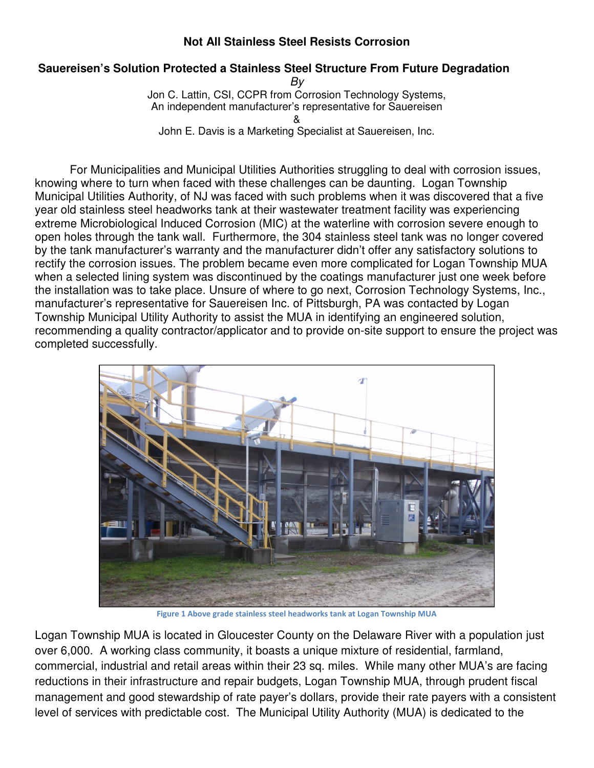## **Not All Stainless Steel Resists Corrosion**

## **Sauereisen's Solution Protected a Stainless Steel Structure From Future Degradation**

By

Jon C. Lattin, CSI, CCPR from Corrosion Technology Systems, An independent manufacturer's representative for Sauereisen &

John E. Davis is a Marketing Specialist at Sauereisen, Inc.

 For Municipalities and Municipal Utilities Authorities struggling to deal with corrosion issues, knowing where to turn when faced with these challenges can be daunting. Logan Township Municipal Utilities Authority, of NJ was faced with such problems when it was discovered that a five year old stainless steel headworks tank at their wastewater treatment facility was experiencing extreme Microbiological Induced Corrosion (MIC) at the waterline with corrosion severe enough to open holes through the tank wall. Furthermore, the 304 stainless steel tank was no longer covered by the tank manufacturer's warranty and the manufacturer didn't offer any satisfactory solutions to rectify the corrosion issues. The problem became even more complicated for Logan Township MUA when a selected lining system was discontinued by the coatings manufacturer just one week before the installation was to take place. Unsure of where to go next, Corrosion Technology Systems, Inc., manufacturer's representative for Sauereisen Inc. of Pittsburgh, PA was contacted by Logan Township Municipal Utility Authority to assist the MUA in identifying an engineered solution, recommending a quality contractor/applicator and to provide on-site support to ensure the project was completed successfully.



Figure 1 Above grade stainless steel headworks tank at Logan Township MUA

Logan Township MUA is located in Gloucester County on the Delaware River with a population just over 6,000. A working class community, it boasts a unique mixture of residential, farmland, commercial, industrial and retail areas within their 23 sq. miles. While many other MUA's are facing reductions in their infrastructure and repair budgets, Logan Township MUA, through prudent fiscal management and good stewardship of rate payer's dollars, provide their rate payers with a consistent level of services with predictable cost. The Municipal Utility Authority (MUA) is dedicated to the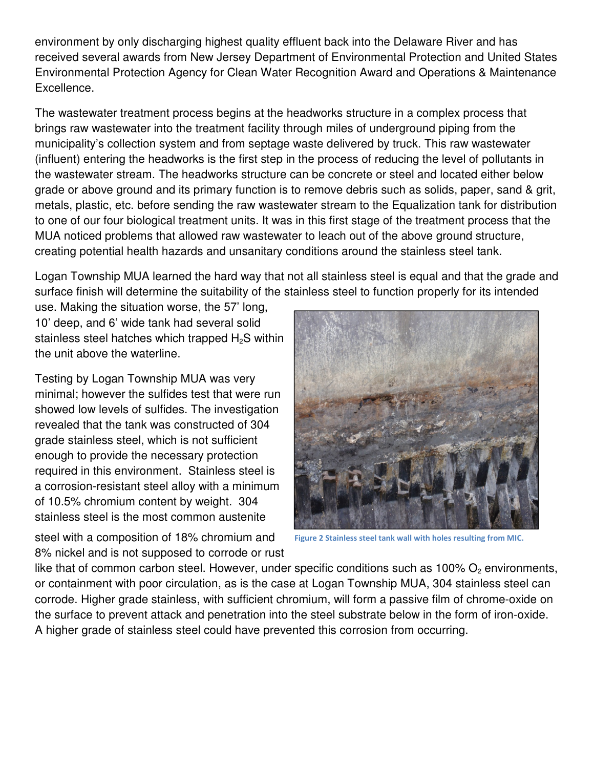environment by only discharging highest quality effluent back into the Delaware River and has received several awards from New Jersey Department of Environmental Protection and United States Environmental Protection Agency for Clean Water Recognition Award and Operations & Maintenance Excellence.

The wastewater treatment process begins at the headworks structure in a complex process that brings raw wastewater into the treatment facility through miles of underground piping from the municipality's collection system and from septage waste delivered by truck. This raw wastewater (influent) entering the headworks is the first step in the process of reducing the level of pollutants in the wastewater stream. The headworks structure can be concrete or steel and located either below grade or above ground and its primary function is to remove debris such as solids, paper, sand & grit, metals, plastic, etc. before sending the raw wastewater stream to the Equalization tank for distribution to one of our four biological treatment units. It was in this first stage of the treatment process that the MUA noticed problems that allowed raw wastewater to leach out of the above ground structure, creating potential health hazards and unsanitary conditions around the stainless steel tank.

Logan Township MUA learned the hard way that not all stainless steel is equal and that the grade and surface finish will determine the suitability of the stainless steel to function properly for its intended

use. Making the situation worse, the 57' long, 10' deep, and 6' wide tank had several solid stainless steel hatches which trapped  $H_2S$  within the unit above the waterline.

Testing by Logan Township MUA was very minimal; however the sulfides test that were run showed low levels of sulfides. The investigation revealed that the tank was constructed of 304 grade stainless steel, which is not sufficient enough to provide the necessary protection required in this environment. Stainless steel is a corrosion-resistant steel alloy with a minimum of 10.5% chromium content by weight. 304 stainless steel is the most common austenite

steel with a composition of 18% chromium and 8% nickel and is not supposed to corrode or rust



Figure 2 Stainless steel tank wall with holes resulting from MIC.

like that of common carbon steel. However, under specific conditions such as 100%  $O<sub>2</sub>$  environments, or containment with poor circulation, as is the case at Logan Township MUA, 304 stainless steel can corrode. Higher grade stainless, with sufficient chromium, will form a passive film of chrome-oxide on the surface to prevent attack and penetration into the steel substrate below in the form of iron-oxide. A higher grade of stainless steel could have prevented this corrosion from occurring.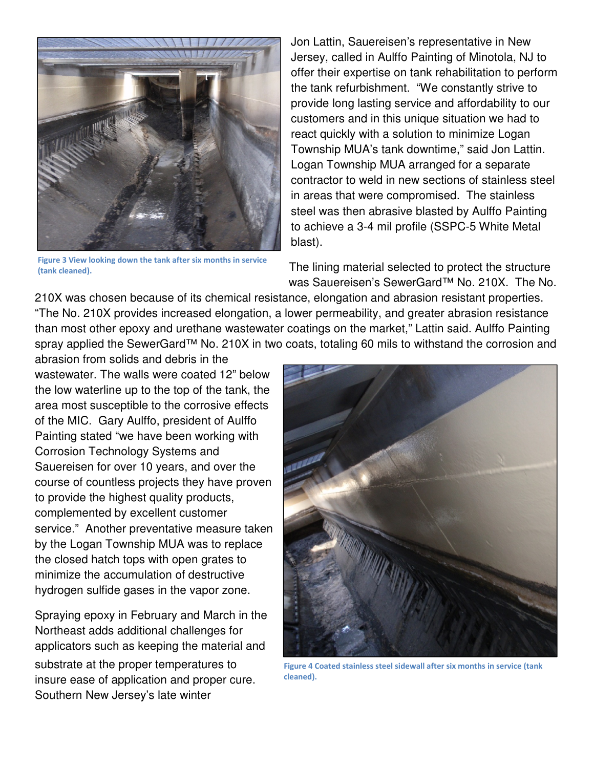

Figure 3 View looking down the tank after six months in service (tank cleaned).

Jon Lattin, Sauereisen's representative in New Jersey, called in Aulffo Painting of Minotola, NJ to offer their expertise on tank rehabilitation to perform the tank refurbishment. "We constantly strive to provide long lasting service and affordability to our customers and in this unique situation we had to react quickly with a solution to minimize Logan Township MUA's tank downtime," said Jon Lattin. Logan Township MUA arranged for a separate contractor to weld in new sections of stainless steel in areas that were compromised. The stainless steel was then abrasive blasted by Aulffo Painting to achieve a 3-4 mil profile (SSPC-5 White Metal blast).

The lining material selected to protect the structure was Sauereisen's SewerGard™ No. 210X. The No.

210X was chosen because of its chemical resistance, elongation and abrasion resistant properties. "The No. 210X provides increased elongation, a lower permeability, and greater abrasion resistance than most other epoxy and urethane wastewater coatings on the market," Lattin said. Aulffo Painting spray applied the SewerGard™ No. 210X in two coats, totaling 60 mils to withstand the corrosion and

abrasion from solids and debris in the wastewater. The walls were coated 12" below the low waterline up to the top of the tank, the area most susceptible to the corrosive effects of the MIC. Gary Aulffo, president of Aulffo Painting stated "we have been working with Corrosion Technology Systems and Sauereisen for over 10 years, and over the course of countless projects they have proven to provide the highest quality products, complemented by excellent customer service." Another preventative measure taken by the Logan Township MUA was to replace the closed hatch tops with open grates to minimize the accumulation of destructive hydrogen sulfide gases in the vapor zone.

Spraying epoxy in February and March in the Northeast adds additional challenges for applicators such as keeping the material and substrate at the proper temperatures to insure ease of application and proper cure. Southern New Jersey's late winter



Figure 4 Coated stainless steel sidewall after six months in service (tank cleaned).